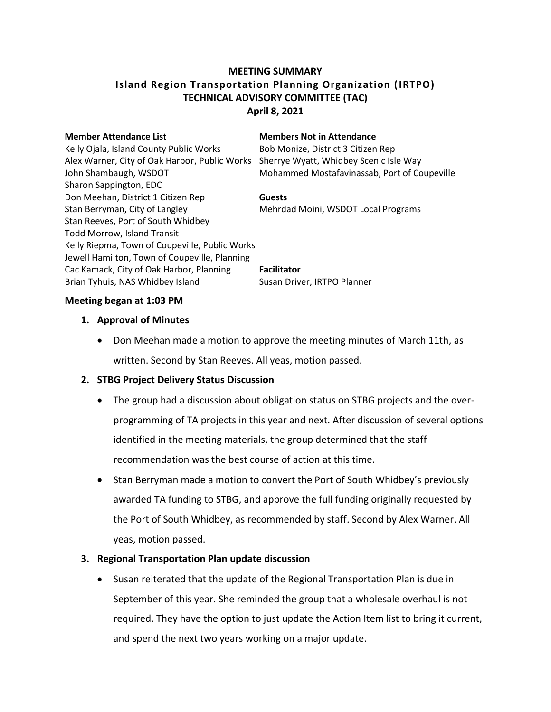# **MEETING SUMMARY Island Region Transportation Planning Organization (IRTPO) TECHNICAL ADVISORY COMMITTEE (TAC) April 8, 2021**

### **Member Attendance List Members Not in Attendance**

Kelly Ojala, Island County Public Works Bob Monize, District 3 Citizen Rep Alex Warner, City of Oak Harbor, Public Works Sherrye Wyatt, Whidbey Scenic Isle Way John Shambaugh, WSDOT **Mohammed Mostafavinassab, Port of Coupeville** 

Sharon Sappington, EDC Don Meehan, District 1 Citizen Rep **Guests** Stan Berryman, City of Langley Mehrdad Moini, WSDOT Local Programs Stan Reeves, Port of South Whidbey Todd Morrow, Island Transit Kelly Riepma, Town of Coupeville, Public Works Jewell Hamilton, Town of Coupeville, Planning Cac Kamack, City of Oak Harbor, Planning **Facilitator** Brian Tyhuis, NAS Whidbey Island Susan Driver, IRTPO Planner

### **Meeting began at 1:03 PM**

### **1. Approval of Minutes**

 Don Meehan made a motion to approve the meeting minutes of March 11th, as written. Second by Stan Reeves. All yeas, motion passed.

## **2. STBG Project Delivery Status Discussion**

- The group had a discussion about obligation status on STBG projects and the overprogramming of TA projects in this year and next. After discussion of several options identified in the meeting materials, the group determined that the staff recommendation was the best course of action at this time.
- Stan Berryman made a motion to convert the Port of South Whidbey's previously awarded TA funding to STBG, and approve the full funding originally requested by the Port of South Whidbey, as recommended by staff. Second by Alex Warner. All yeas, motion passed.

## **3. Regional Transportation Plan update discussion**

 Susan reiterated that the update of the Regional Transportation Plan is due in September of this year. She reminded the group that a wholesale overhaul is not required. They have the option to just update the Action Item list to bring it current, and spend the next two years working on a major update.